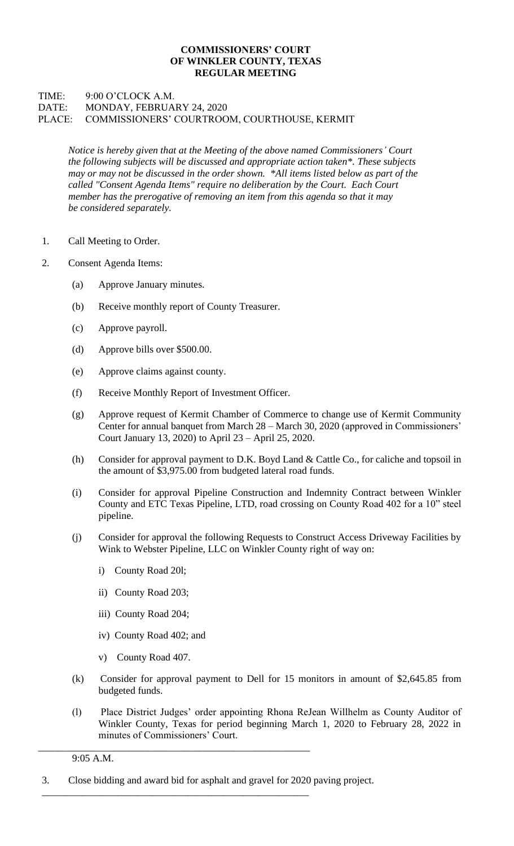## **COMMISSIONERS' COURT OF WINKLER COUNTY, TEXAS REGULAR MEETING**

## TIME: 9:00 O'CLOCK A.M. DATE: MONDAY, FEBRUARY 24, 2020 PLACE: COMMISSIONERS' COURTROOM, COURTHOUSE, KERMIT

*Notice is hereby given that at the Meeting of the above named Commissioners' Court the following subjects will be discussed and appropriate action taken\*. These subjects may or may not be discussed in the order shown. \*All items listed below as part of the called "Consent Agenda Items" require no deliberation by the Court. Each Court member has the prerogative of removing an item from this agenda so that it may be considered separately.*

- 1. Call Meeting to Order.
- 2. Consent Agenda Items:
	- (a) Approve January minutes.
	- (b) Receive monthly report of County Treasurer.
	- (c) Approve payroll.
	- (d) Approve bills over \$500.00.
	- (e) Approve claims against county.
	- (f) Receive Monthly Report of Investment Officer.
	- (g) Approve request of Kermit Chamber of Commerce to change use of Kermit Community Center for annual banquet from March 28 – March 30, 2020 (approved in Commissioners' Court January 13, 2020) to April 23 – April 25, 2020.
	- (h) Consider for approval payment to D.K. Boyd Land & Cattle Co., for caliche and topsoil in the amount of \$3,975.00 from budgeted lateral road funds.
	- (i) Consider for approval Pipeline Construction and Indemnity Contract between Winkler County and ETC Texas Pipeline, LTD, road crossing on County Road 402 for a 10" steel pipeline.
	- (j) Consider for approval the following Requests to Construct Access Driveway Facilities by Wink to Webster Pipeline, LLC on Winkler County right of way on:
		- i) County Road 20l;
		- ii) County Road 203;
		- iii) County Road 204;
		- iv) County Road 402; and
		- v) County Road 407.
	- (k) Consider for approval payment to Dell for 15 monitors in amount of \$2,645.85 from budgeted funds.
	- (l) Place District Judges' order appointing Rhona ReJean Willhelm as County Auditor of Winkler County, Texas for period beginning March 1, 2020 to February 28, 2022 in minutes of Commissioners' Court.

9:05 A.M.

3. Close bidding and award bid for asphalt and gravel for 2020 paving project.

\_\_\_\_\_\_\_\_\_\_\_\_\_\_\_\_\_\_\_\_\_\_\_\_\_\_\_\_\_\_\_\_\_\_\_\_\_\_\_\_\_\_\_\_\_\_\_\_\_\_\_\_\_\_

\_\_\_\_\_\_\_\_\_\_\_\_\_\_\_\_\_\_\_\_\_\_\_\_\_\_\_\_\_\_\_\_\_\_\_\_\_\_\_\_\_\_\_\_\_\_\_\_\_\_\_\_\_